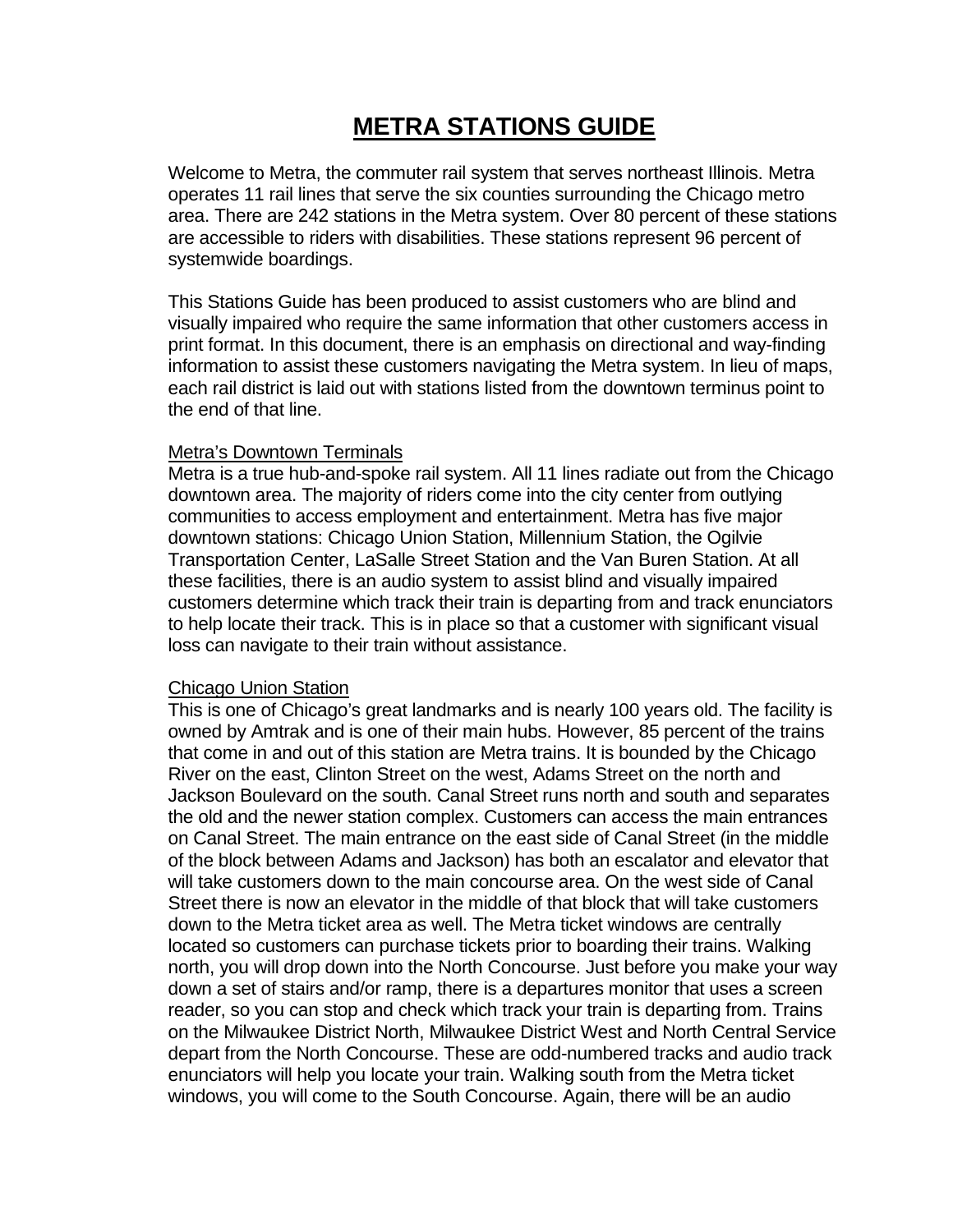# **METRA STATIONS GUIDE**

Welcome to Metra, the commuter rail system that serves northeast Illinois. Metra operates 11 rail lines that serve the six counties surrounding the Chicago metro area. There are 242 stations in the Metra system. Over 80 percent of these stations are accessible to riders with disabilities. These stations represent 96 percent of systemwide boardings.

This Stations Guide has been produced to assist customers who are blind and visually impaired who require the same information that other customers access in print format. In this document, there is an emphasis on directional and way-finding information to assist these customers navigating the Metra system. In lieu of maps, each rail district is laid out with stations listed from the downtown terminus point to the end of that line.

#### Metra's Downtown Terminals

Metra is a true hub-and-spoke rail system. All 11 lines radiate out from the Chicago downtown area. The majority of riders come into the city center from outlying communities to access employment and entertainment. Metra has five major downtown stations: Chicago Union Station, Millennium Station, the Ogilvie Transportation Center, LaSalle Street Station and the Van Buren Station. At all these facilities, there is an audio system to assist blind and visually impaired customers determine which track their train is departing from and track enunciators to help locate their track. This is in place so that a customer with significant visual loss can navigate to their train without assistance.

#### Chicago Union Station

This is one of Chicago's great landmarks and is nearly 100 years old. The facility is owned by Amtrak and is one of their main hubs. However, 85 percent of the trains that come in and out of this station are Metra trains. It is bounded by the Chicago River on the east, Clinton Street on the west, Adams Street on the north and Jackson Boulevard on the south. Canal Street runs north and south and separates the old and the newer station complex. Customers can access the main entrances on Canal Street. The main entrance on the east side of Canal Street (in the middle of the block between Adams and Jackson) has both an escalator and elevator that will take customers down to the main concourse area. On the west side of Canal Street there is now an elevator in the middle of that block that will take customers down to the Metra ticket area as well. The Metra ticket windows are centrally located so customers can purchase tickets prior to boarding their trains. Walking north, you will drop down into the North Concourse. Just before you make your way down a set of stairs and/or ramp, there is a departures monitor that uses a screen reader, so you can stop and check which track your train is departing from. Trains on the Milwaukee District North, Milwaukee District West and North Central Service depart from the North Concourse. These are odd-numbered tracks and audio track enunciators will help you locate your train. Walking south from the Metra ticket windows, you will come to the South Concourse. Again, there will be an audio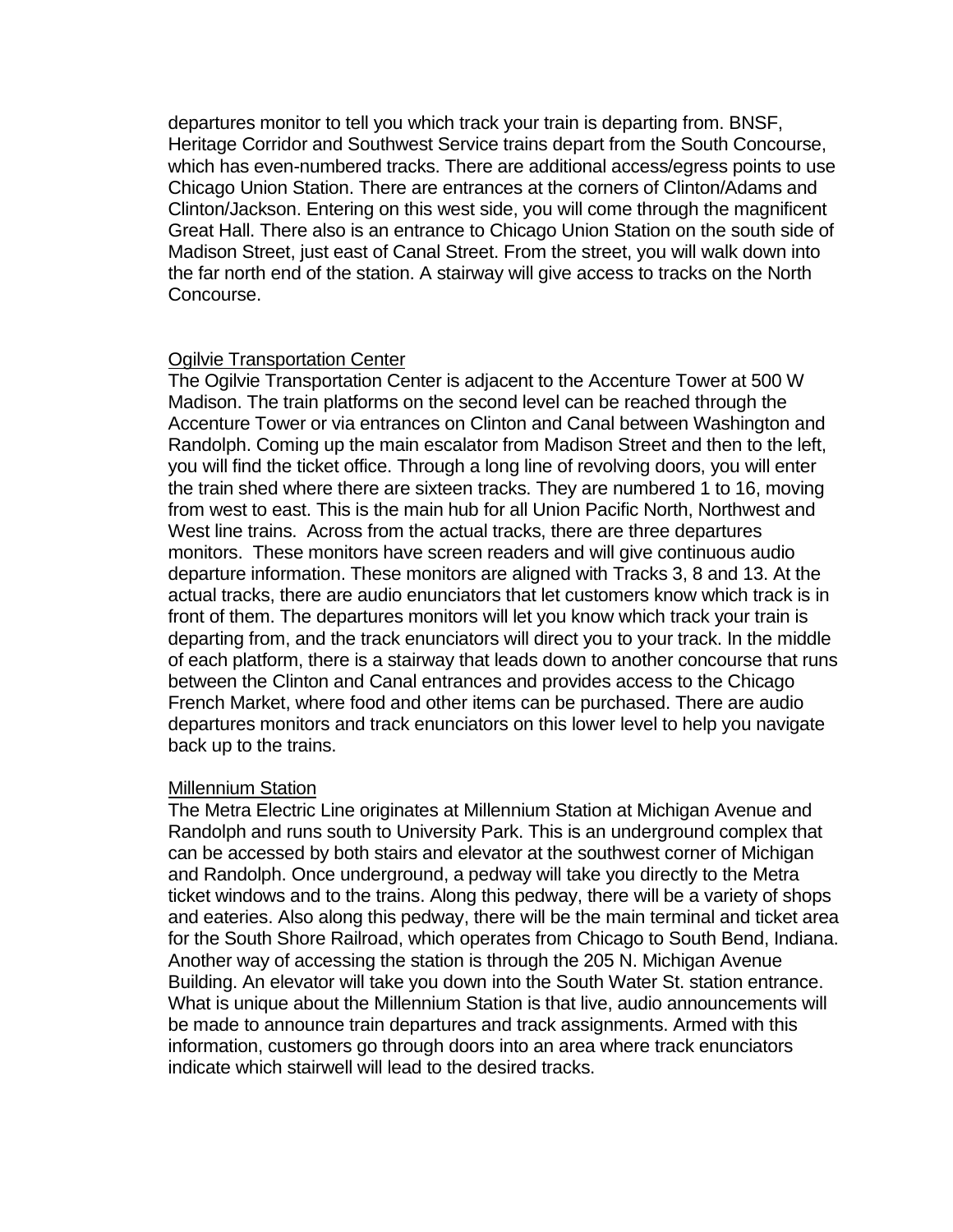departures monitor to tell you which track your train is departing from. BNSF, Heritage Corridor and Southwest Service trains depart from the South Concourse, which has even-numbered tracks. There are additional access/egress points to use Chicago Union Station. There are entrances at the corners of Clinton/Adams and Clinton/Jackson. Entering on this west side, you will come through the magnificent Great Hall. There also is an entrance to Chicago Union Station on the south side of Madison Street, just east of Canal Street. From the street, you will walk down into the far north end of the station. A stairway will give access to tracks on the North Concourse.

#### Ogilvie Transportation Center

The Ogilvie Transportation Center is adjacent to the Accenture Tower at 500 W Madison. The train platforms on the second level can be reached through the Accenture Tower or via entrances on Clinton and Canal between Washington and Randolph. Coming up the main escalator from Madison Street and then to the left, you will find the ticket office. Through a long line of revolving doors, you will enter the train shed where there are sixteen tracks. They are numbered 1 to 16, moving from west to east. This is the main hub for all Union Pacific North, Northwest and West line trains. Across from the actual tracks, there are three departures monitors. These monitors have screen readers and will give continuous audio departure information. These monitors are aligned with Tracks 3, 8 and 13. At the actual tracks, there are audio enunciators that let customers know which track is in front of them. The departures monitors will let you know which track your train is departing from, and the track enunciators will direct you to your track. In the middle of each platform, there is a stairway that leads down to another concourse that runs between the Clinton and Canal entrances and provides access to the Chicago French Market, where food and other items can be purchased. There are audio departures monitors and track enunciators on this lower level to help you navigate back up to the trains.

#### Millennium Station

The Metra Electric Line originates at Millennium Station at Michigan Avenue and Randolph and runs south to University Park. This is an underground complex that can be accessed by both stairs and elevator at the southwest corner of Michigan and Randolph. Once underground, a pedway will take you directly to the Metra ticket windows and to the trains. Along this pedway, there will be a variety of shops and eateries. Also along this pedway, there will be the main terminal and ticket area for the South Shore Railroad, which operates from Chicago to South Bend, Indiana. Another way of accessing the station is through the 205 N. Michigan Avenue Building. An elevator will take you down into the South Water St. station entrance. What is unique about the Millennium Station is that live, audio announcements will be made to announce train departures and track assignments. Armed with this information, customers go through doors into an area where track enunciators indicate which stairwell will lead to the desired tracks.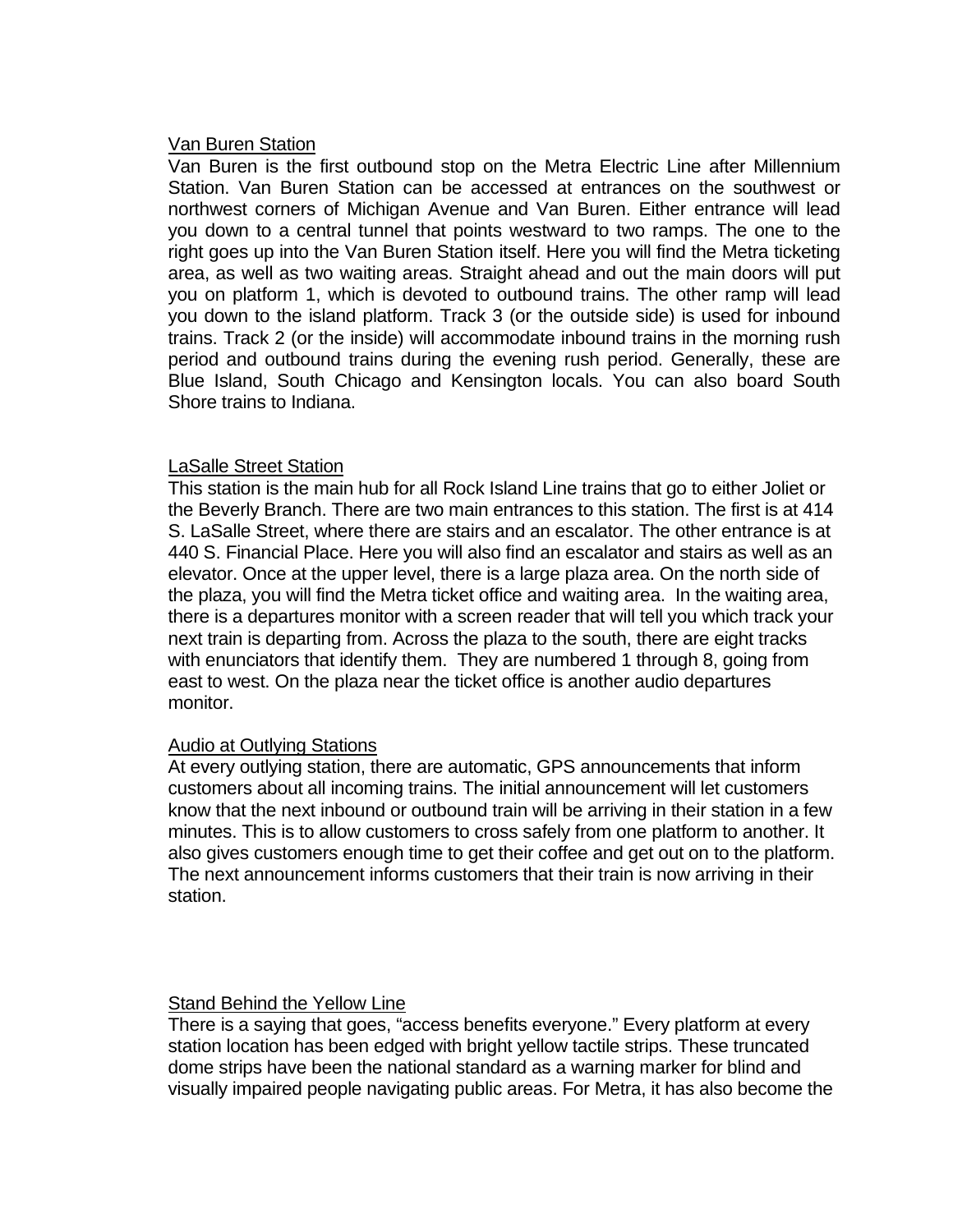# Van Buren Station

Van Buren is the first outbound stop on the Metra Electric Line after Millennium Station. Van Buren Station can be accessed at entrances on the southwest or northwest corners of Michigan Avenue and Van Buren. Either entrance will lead you down to a central tunnel that points westward to two ramps. The one to the right goes up into the Van Buren Station itself. Here you will find the Metra ticketing area, as well as two waiting areas. Straight ahead and out the main doors will put you on platform 1, which is devoted to outbound trains. The other ramp will lead you down to the island platform. Track 3 (or the outside side) is used for inbound trains. Track 2 (or the inside) will accommodate inbound trains in the morning rush period and outbound trains during the evening rush period. Generally, these are Blue Island, South Chicago and Kensington locals. You can also board South Shore trains to Indiana.

# LaSalle Street Station

This station is the main hub for all Rock Island Line trains that go to either Joliet or the Beverly Branch. There are two main entrances to this station. The first is at 414 S. LaSalle Street, where there are stairs and an escalator. The other entrance is at 440 S. Financial Place. Here you will also find an escalator and stairs as well as an elevator. Once at the upper level, there is a large plaza area. On the north side of the plaza, you will find the Metra ticket office and waiting area. In the waiting area, there is a departures monitor with a screen reader that will tell you which track your next train is departing from. Across the plaza to the south, there are eight tracks with enunciators that identify them. They are numbered 1 through 8, going from east to west. On the plaza near the ticket office is another audio departures monitor.

# **Audio at Outlying Stations**

At every outlying station, there are automatic, GPS announcements that inform customers about all incoming trains. The initial announcement will let customers know that the next inbound or outbound train will be arriving in their station in a few minutes. This is to allow customers to cross safely from one platform to another. It also gives customers enough time to get their coffee and get out on to the platform. The next announcement informs customers that their train is now arriving in their station.

# Stand Behind the Yellow Line

There is a saying that goes, "access benefits everyone." Every platform at every station location has been edged with bright yellow tactile strips. These truncated dome strips have been the national standard as a warning marker for blind and visually impaired people navigating public areas. For Metra, it has also become the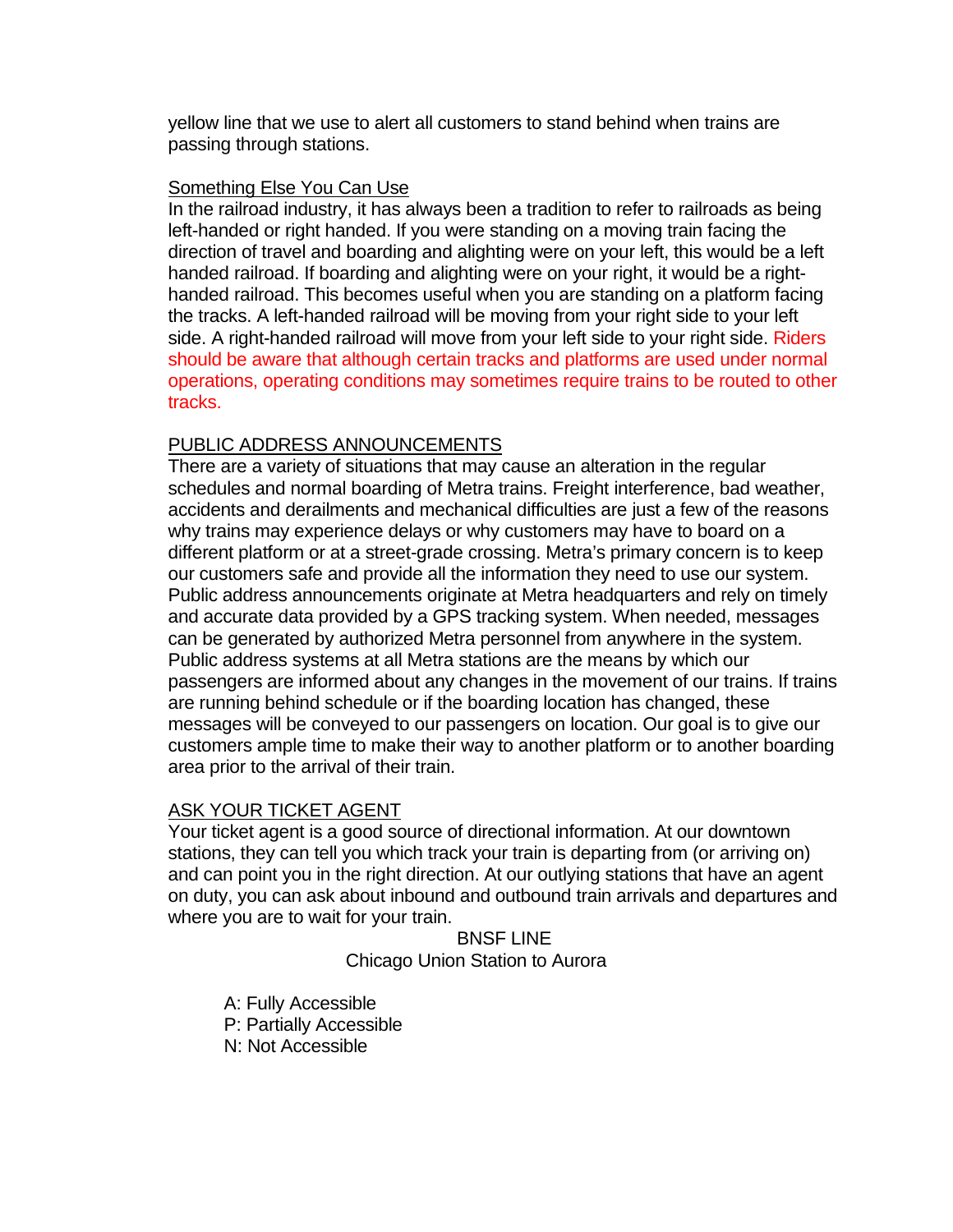yellow line that we use to alert all customers to stand behind when trains are passing through stations.

# Something Else You Can Use

In the railroad industry, it has always been a tradition to refer to railroads as being left-handed or right handed. If you were standing on a moving train facing the direction of travel and boarding and alighting were on your left, this would be a left handed railroad. If boarding and alighting were on your right, it would be a righthanded railroad. This becomes useful when you are standing on a platform facing the tracks. A left-handed railroad will be moving from your right side to your left side. A right-handed railroad will move from your left side to your right side. Riders should be aware that although certain tracks and platforms are used under normal operations, operating conditions may sometimes require trains to be routed to other tracks.

# PUBLIC ADDRESS ANNOUNCEMENTS

There are a variety of situations that may cause an alteration in the regular schedules and normal boarding of Metra trains. Freight interference, bad weather, accidents and derailments and mechanical difficulties are just a few of the reasons why trains may experience delays or why customers may have to board on a different platform or at a street-grade crossing. Metra's primary concern is to keep our customers safe and provide all the information they need to use our system. Public address announcements originate at Metra headquarters and rely on timely and accurate data provided by a GPS tracking system. When needed, messages can be generated by authorized Metra personnel from anywhere in the system. Public address systems at all Metra stations are the means by which our passengers are informed about any changes in the movement of our trains. If trains are running behind schedule or if the boarding location has changed, these messages will be conveyed to our passengers on location. Our goal is to give our customers ample time to make their way to another platform or to another boarding area prior to the arrival of their train.

# ASK YOUR TICKET AGENT

Your ticket agent is a good source of directional information. At our downtown stations, they can tell you which track your train is departing from (or arriving on) and can point you in the right direction. At our outlying stations that have an agent on duty, you can ask about inbound and outbound train arrivals and departures and where you are to wait for your train.

> BNSF LINE Chicago Union Station to Aurora

A: Fully Accessible

P: Partially Accessible

N: Not Accessible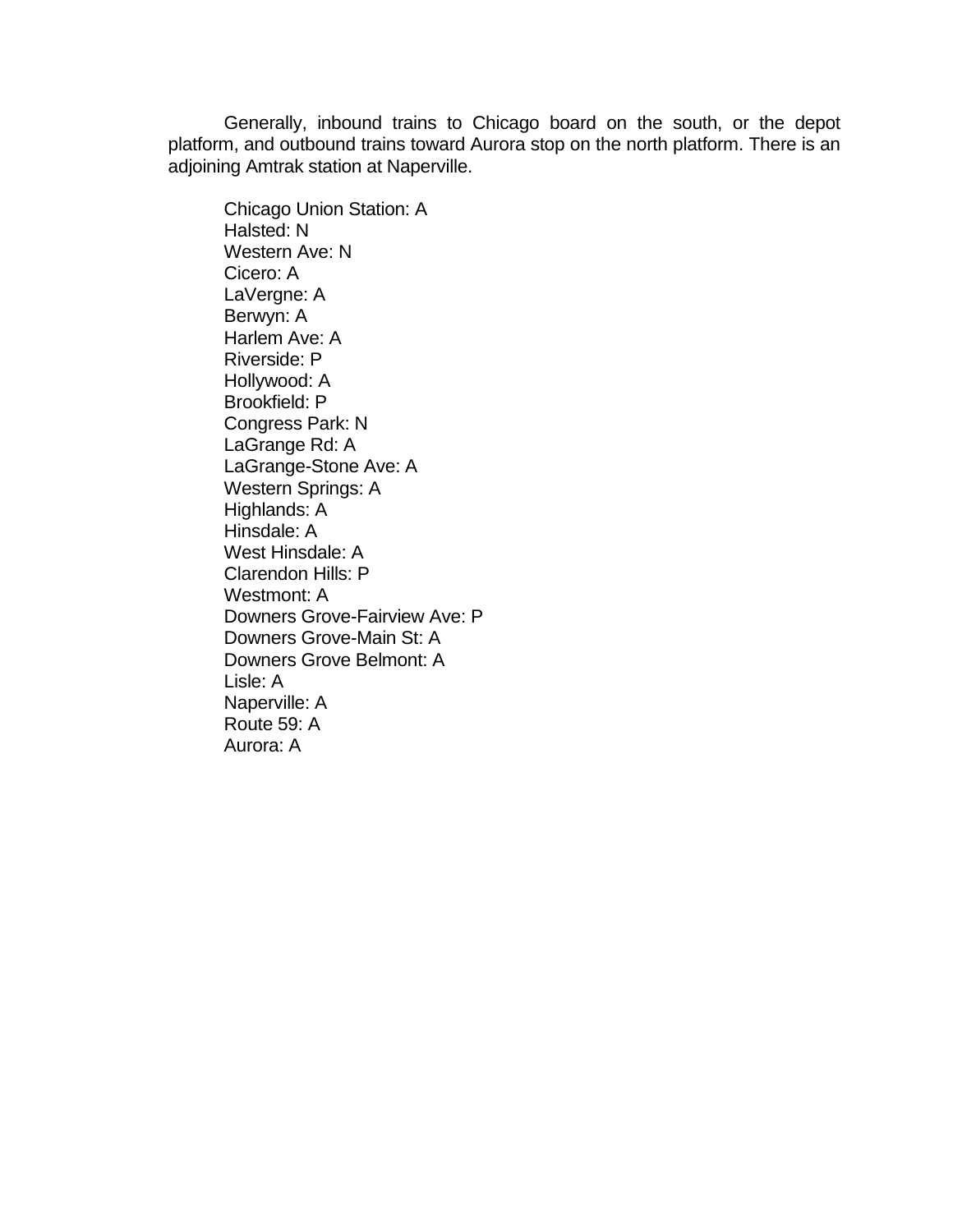Generally, inbound trains to Chicago board on the south, or the depot platform, and outbound trains toward Aurora stop on the north platform. There is an adjoining Amtrak station at Naperville.

Chicago Union Station: A Halsted: N Western Ave: N Cicero: A LaVergne: A Berwyn: A Harlem Ave: A Riverside: P Hollywood: A Brookfield: P Congress Park: N LaGrange Rd: A LaGrange-Stone Ave: A Western Springs: A Highlands: A Hinsdale: A West Hinsdale: A Clarendon Hills: P Westmont: A Downers Grove-Fairview Ave: P Downers Grove-Main St: A Downers Grove Belmont: A Lisle: A Naperville: A Route 59: A Aurora: A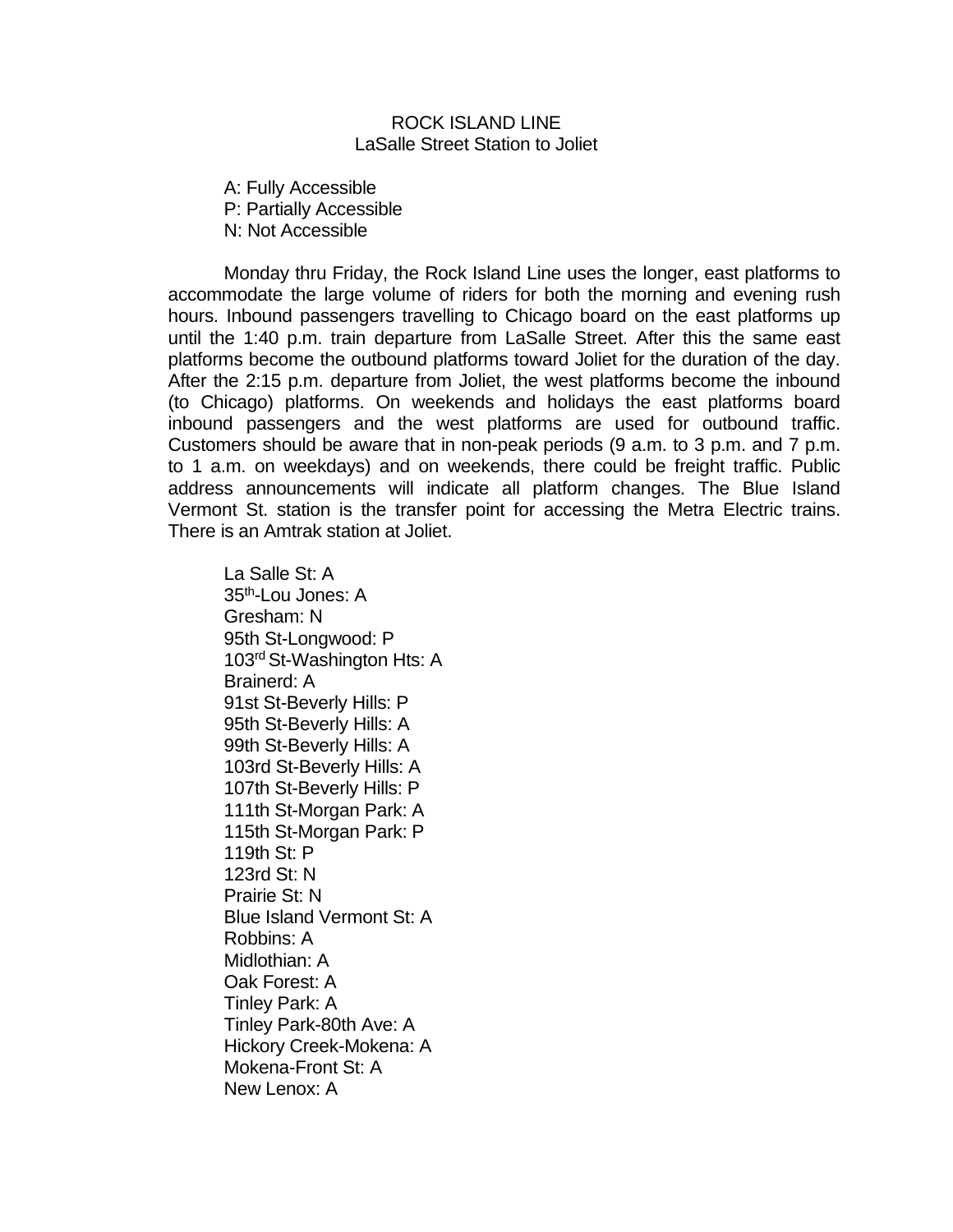#### ROCK ISLAND LINE LaSalle Street Station to Joliet

A: Fully Accessible P: Partially Accessible N: Not Accessible

Monday thru Friday, the Rock Island Line uses the longer, east platforms to accommodate the large volume of riders for both the morning and evening rush hours. Inbound passengers travelling to Chicago board on the east platforms up until the 1:40 p.m. train departure from LaSalle Street. After this the same east platforms become the outbound platforms toward Joliet for the duration of the day. After the 2:15 p.m. departure from Joliet, the west platforms become the inbound (to Chicago) platforms. On weekends and holidays the east platforms board inbound passengers and the west platforms are used for outbound traffic. Customers should be aware that in non-peak periods (9 a.m. to 3 p.m. and 7 p.m. to 1 a.m. on weekdays) and on weekends, there could be freight traffic. Public address announcements will indicate all platform changes. The Blue Island Vermont St. station is the transfer point for accessing the Metra Electric trains. There is an Amtrak station at Joliet.

La Salle St: A 35th-Lou Jones: A Gresham: N 95th St-Longwood: P 103<sup>rd</sup> St-Washington Hts: A Brainerd: A 91st St-Beverly Hills: P 95th St-Beverly Hills: A 99th St-Beverly Hills: A 103rd St-Beverly Hills: A 107th St-Beverly Hills: P 111th St-Morgan Park: A 115th St-Morgan Park: P 119th St: P 123rd St: N Prairie St: N Blue Island Vermont St: A Robbins: A Midlothian: A Oak Forest: A Tinley Park: A Tinley Park-80th Ave: A Hickory Creek-Mokena: A Mokena-Front St: A New Lenox: A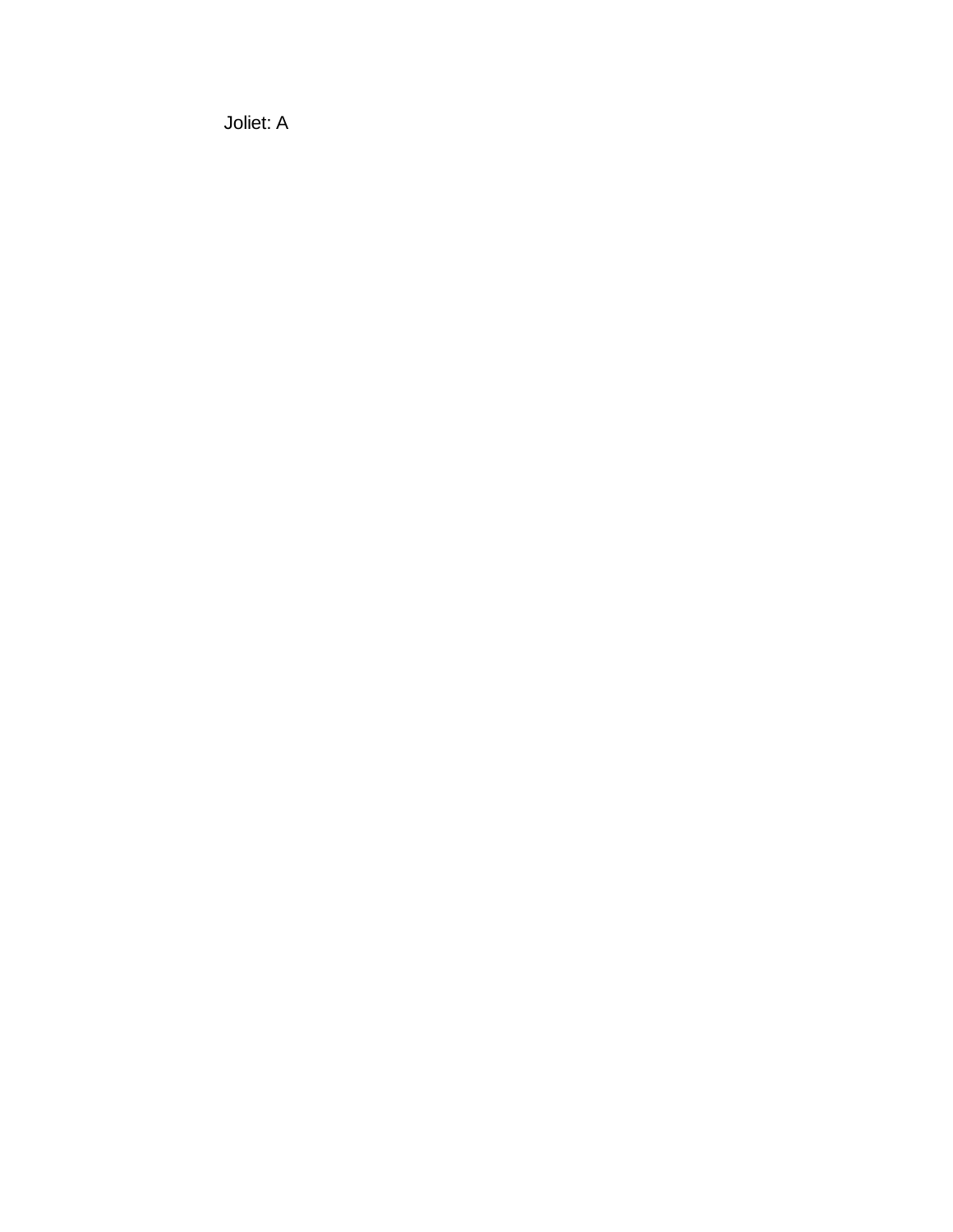Joliet: A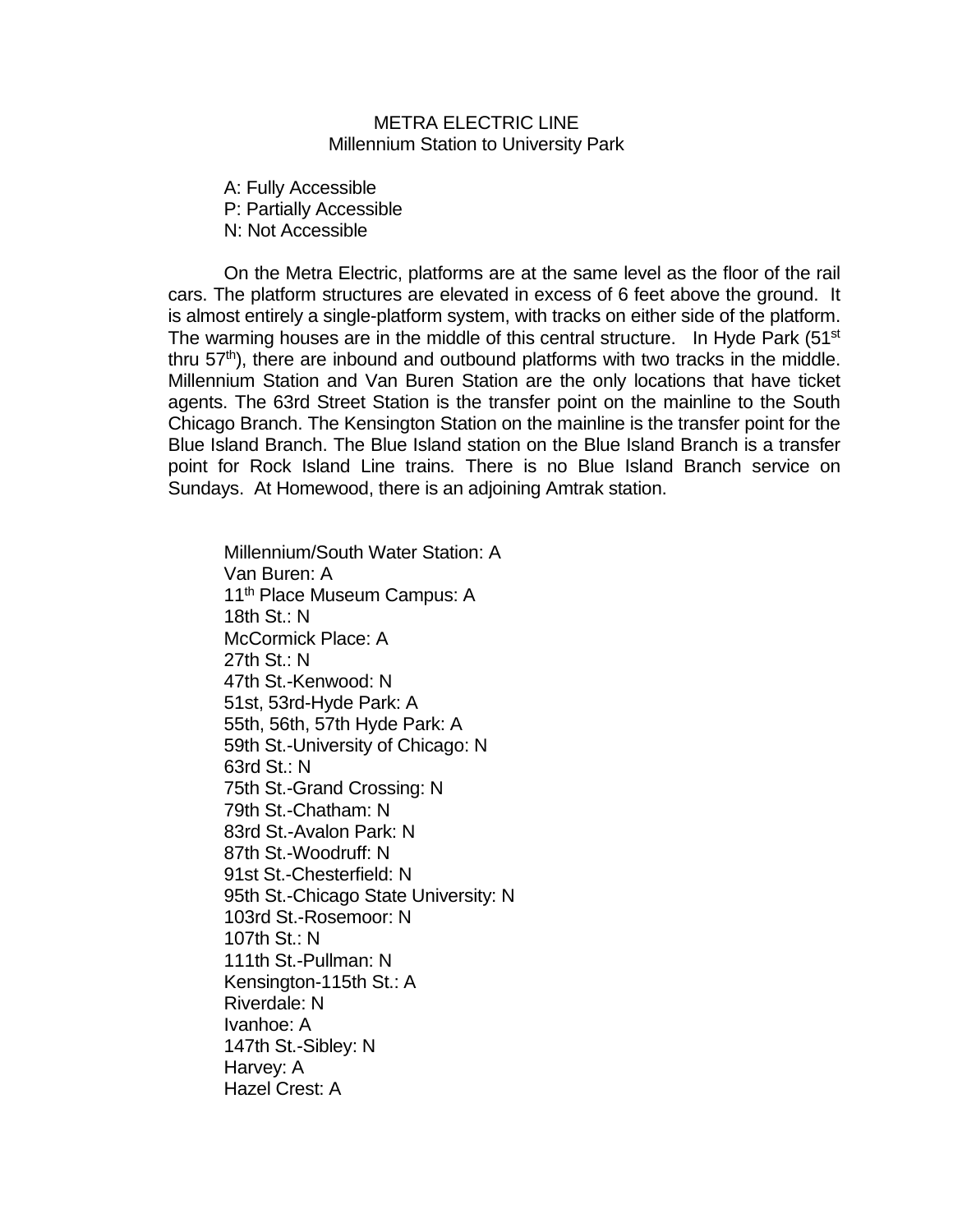#### METRA ELECTRIC LINE Millennium Station to University Park

A: Fully Accessible P: Partially Accessible N: Not Accessible

On the Metra Electric, platforms are at the same level as the floor of the rail cars. The platform structures are elevated in excess of 6 feet above the ground. It is almost entirely a single-platform system, with tracks on either side of the platform. The warming houses are in the middle of this central structure. In Hyde Park  $(51<sup>st</sup>$ thru  $57<sup>th</sup>$ ), there are inbound and outbound platforms with two tracks in the middle. Millennium Station and Van Buren Station are the only locations that have ticket agents. The 63rd Street Station is the transfer point on the mainline to the South Chicago Branch. The Kensington Station on the mainline is the transfer point for the Blue Island Branch. The Blue Island station on the Blue Island Branch is a transfer point for Rock Island Line trains. There is no Blue Island Branch service on Sundays. At Homewood, there is an adjoining Amtrak station.

Millennium/South Water Station: A Van Buren: A 11<sup>th</sup> Place Museum Campus: A 18th St.: N McCormick Place: A 27th St.: N 47th St.-Kenwood: N 51st, 53rd-Hyde Park: A 55th, 56th, 57th Hyde Park: A 59th St.-University of Chicago: N 63rd St.: N 75th St.-Grand Crossing: N 79th St.-Chatham: N 83rd St.-Avalon Park: N 87th St.-Woodruff: N 91st St.-Chesterfield: N 95th St.-Chicago State University: N 103rd St.-Rosemoor: N 107th St.: N 111th St.-Pullman: N Kensington-115th St.: A Riverdale: N Ivanhoe: A 147th St.-Sibley: N Harvey: A Hazel Crest: A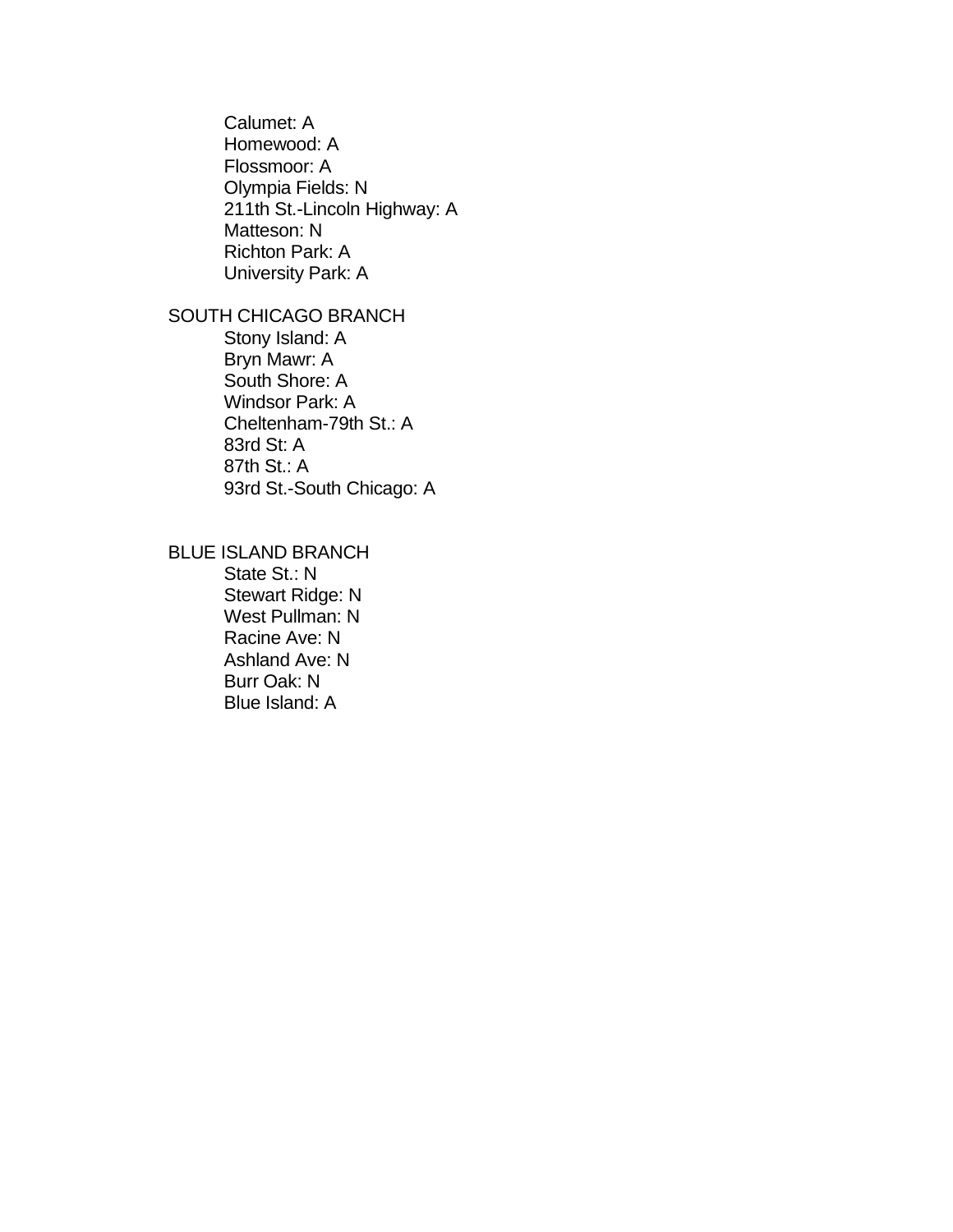Calumet: A Homewood: A Flossmoor: A Olympia Fields: N 211th St.-Lincoln Highway: A Matteson: N Richton Park: A University Park: A

# SOUTH CHICAGO BRANCH

Stony Island: A Bryn Mawr: A South Shore: A Windsor Park: A Cheltenham-79th St.: A 83rd St: A 87th St.: A 93rd St.-South Chicago: A

# BLUE ISLAND BRANCH

State St.: N Stewart Ridge: N West Pullman: N Racine Ave: N Ashland Ave: N Burr Oak: N Blue Island: A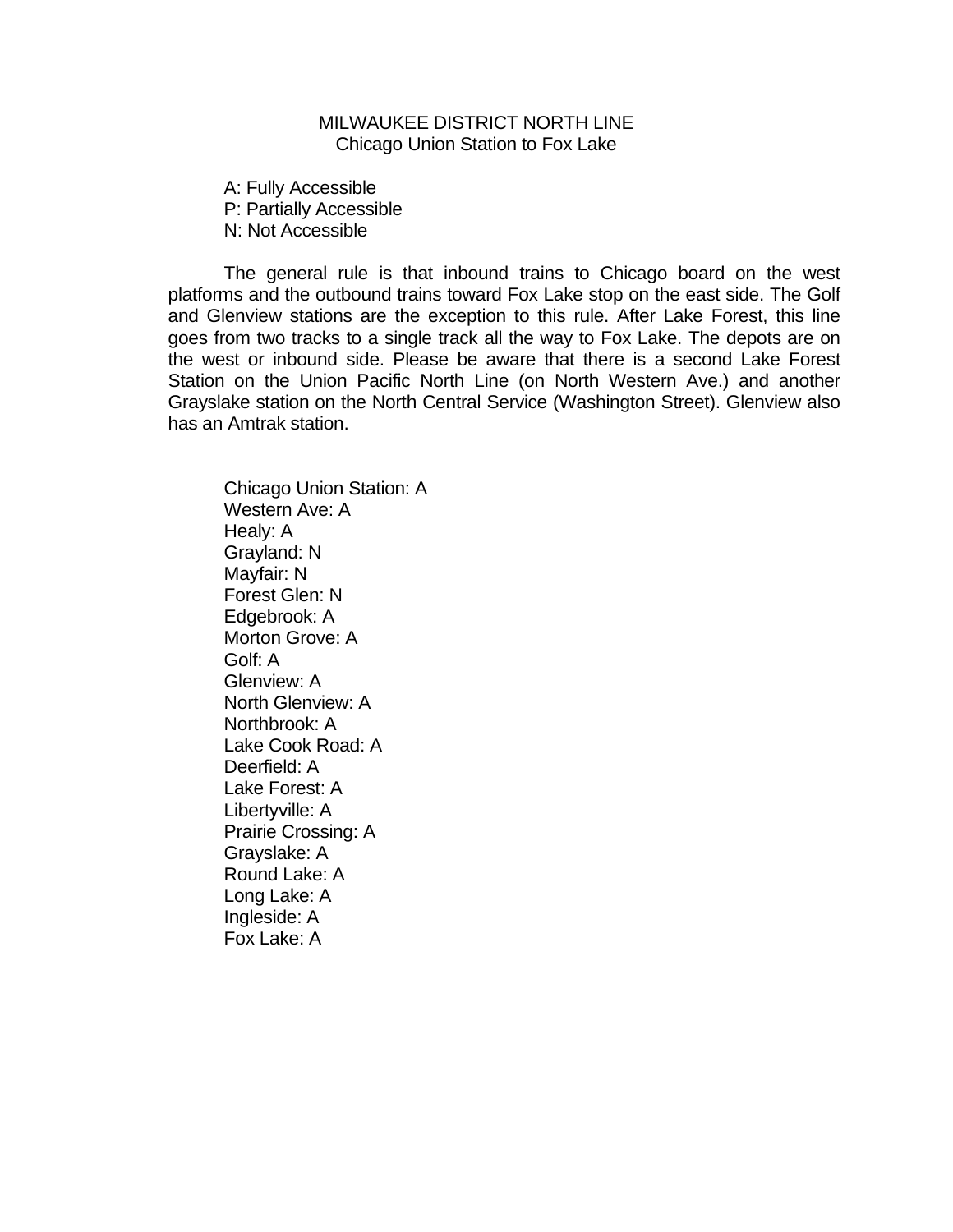# MILWAUKEE DISTRICT NORTH LINE Chicago Union Station to Fox Lake

A: Fully Accessible P: Partially Accessible N: Not Accessible

The general rule is that inbound trains to Chicago board on the west platforms and the outbound trains toward Fox Lake stop on the east side. The Golf and Glenview stations are the exception to this rule. After Lake Forest, this line goes from two tracks to a single track all the way to Fox Lake. The depots are on the west or inbound side. Please be aware that there is a second Lake Forest Station on the Union Pacific North Line (on North Western Ave.) and another Grayslake station on the North Central Service (Washington Street). Glenview also has an Amtrak station.

Chicago Union Station: A Western Ave: A Healy: A Grayland: N Mayfair: N Forest Glen: N Edgebrook: A Morton Grove: A Golf: A Glenview: A North Glenview: A Northbrook: A Lake Cook Road: A Deerfield: A Lake Forest: A Libertyville: A Prairie Crossing: A Grayslake: A Round Lake: A Long Lake: A Ingleside: A Fox Lake: A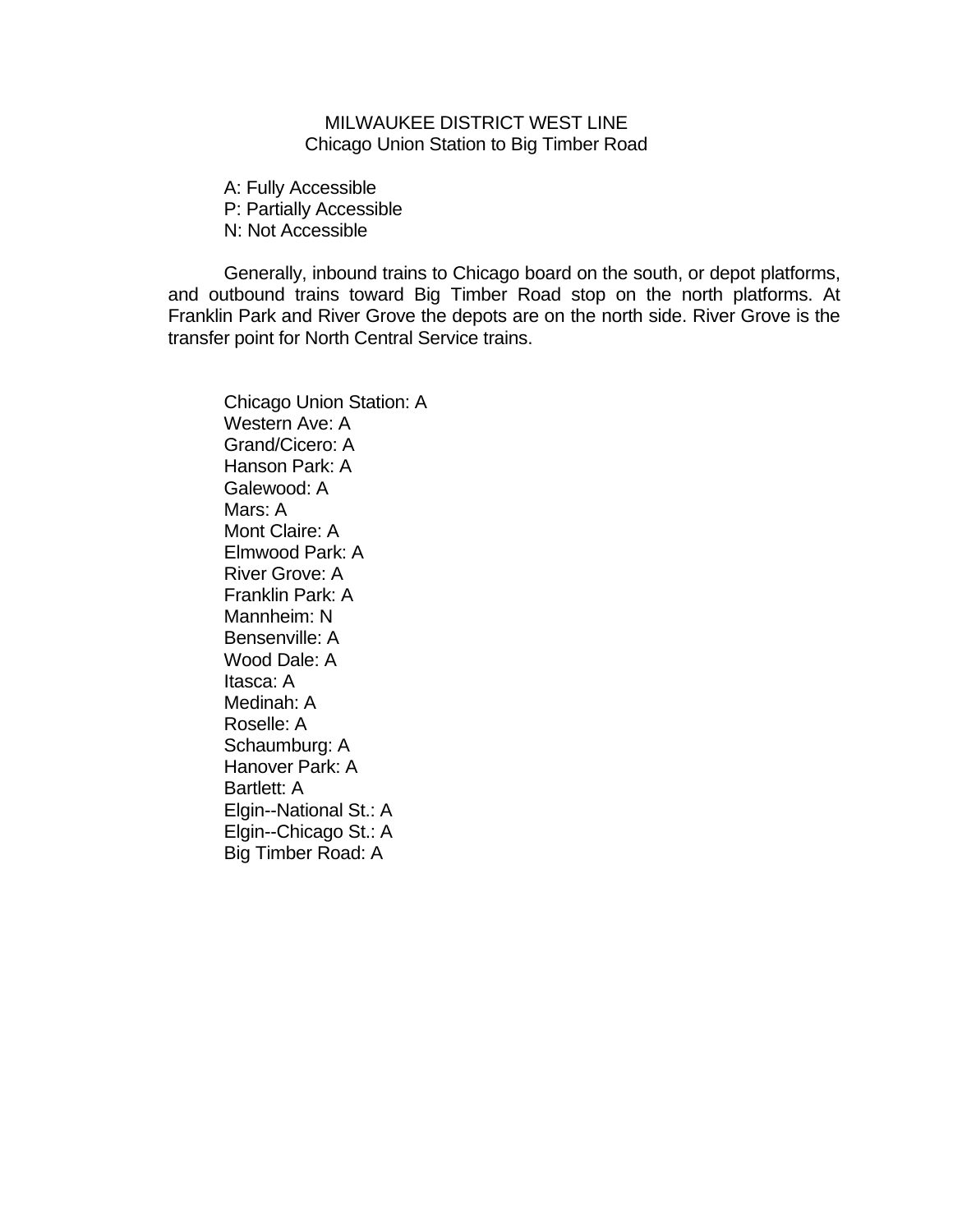# MILWAUKEE DISTRICT WEST LINE Chicago Union Station to Big Timber Road

A: Fully Accessible P: Partially Accessible N: Not Accessible

Generally, inbound trains to Chicago board on the south, or depot platforms, and outbound trains toward Big Timber Road stop on the north platforms. At Franklin Park and River Grove the depots are on the north side. River Grove is the transfer point for North Central Service trains.

Chicago Union Station: A Western Ave: A Grand/Cicero: A Hanson Park: A Galewood: A Mars: A Mont Claire: A Elmwood Park: A River Grove: A Franklin Park: A Mannheim: N Bensenville: A Wood Dale: A Itasca: A Medinah: A Roselle: A Schaumburg: A Hanover Park: A Bartlett: A Elgin--National St.: A Elgin--Chicago St.: A Big Timber Road: A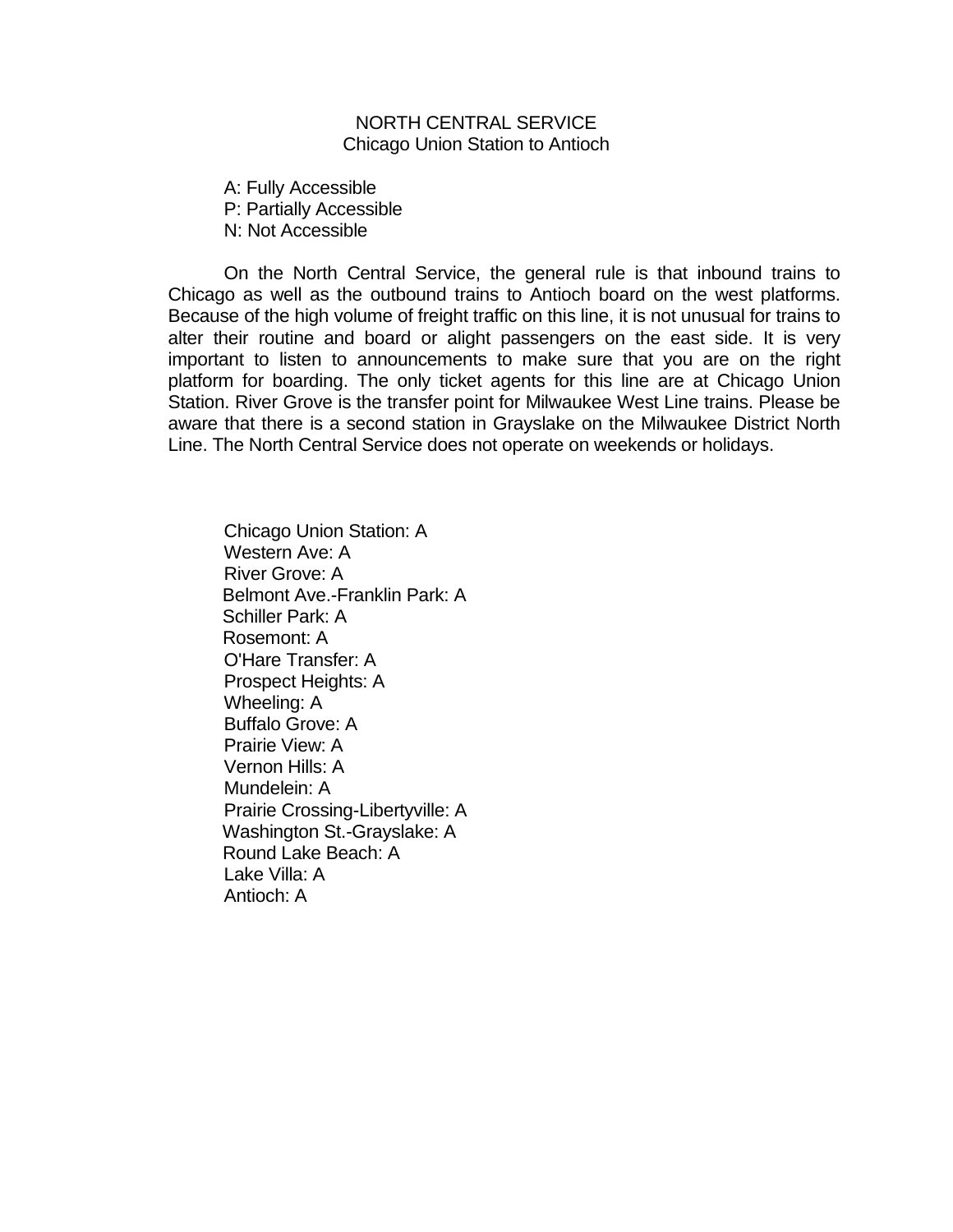#### NORTH CENTRAL SERVICE Chicago Union Station to Antioch

A: Fully Accessible P: Partially Accessible N: Not Accessible

On the North Central Service, the general rule is that inbound trains to Chicago as well as the outbound trains to Antioch board on the west platforms. Because of the high volume of freight traffic on this line, it is not unusual for trains to alter their routine and board or alight passengers on the east side. It is very important to listen to announcements to make sure that you are on the right platform for boarding. The only ticket agents for this line are at Chicago Union Station. River Grove is the transfer point for Milwaukee West Line trains. Please be aware that there is a second station in Grayslake on the Milwaukee District North Line. The North Central Service does not operate on weekends or holidays.

Chicago Union Station: A Western Ave: A River Grove: A Belmont Ave.-Franklin Park: A Schiller Park: A Rosemont: A O'Hare Transfer: A Prospect Heights: A Wheeling: A Buffalo Grove: A Prairie View: A Vernon Hills: A Mundelein: A Prairie Crossing-Libertyville: A Washington St.-Grayslake: A Round Lake Beach: A Lake Villa: A Antioch: A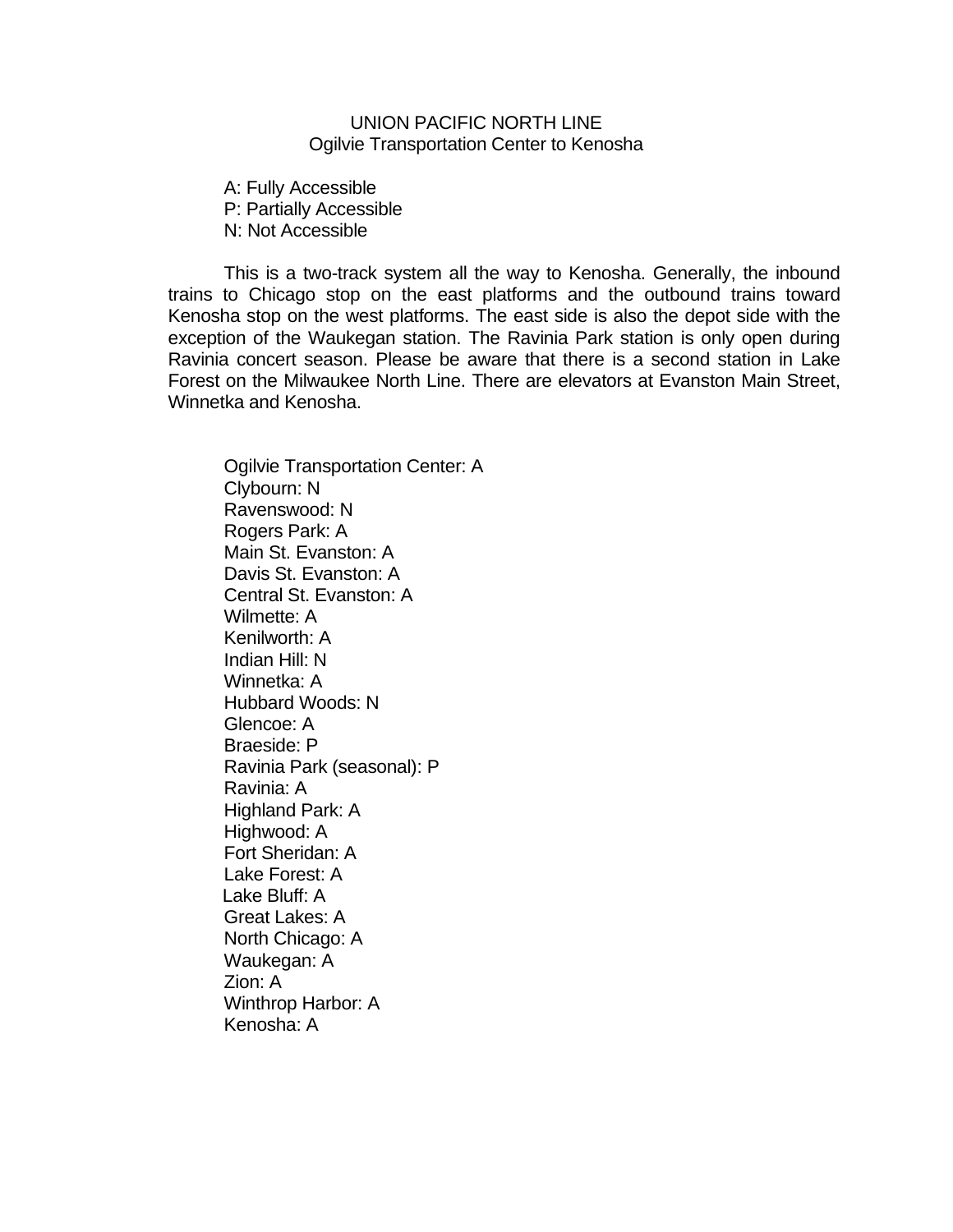# UNION PACIFIC NORTH LINE Ogilvie Transportation Center to Kenosha

A: Fully Accessible P: Partially Accessible N: Not Accessible

This is a two-track system all the way to Kenosha. Generally, the inbound trains to Chicago stop on the east platforms and the outbound trains toward Kenosha stop on the west platforms. The east side is also the depot side with the exception of the Waukegan station. The Ravinia Park station is only open during Ravinia concert season. Please be aware that there is a second station in Lake Forest on the Milwaukee North Line. There are elevators at Evanston Main Street, Winnetka and Kenosha.

Ogilvie Transportation Center: A Clybourn: N Ravenswood: N Rogers Park: A Main St. Evanston: A Davis St. Evanston: A Central St. Evanston: A Wilmette: A Kenilworth: A Indian Hill: N Winnetka: A Hubbard Woods: N Glencoe: A Braeside: P Ravinia Park (seasonal): P Ravinia: A Highland Park: A Highwood: A Fort Sheridan: A Lake Forest: A Lake Bluff: A Great Lakes: A North Chicago: A Waukegan: A Zion: A Winthrop Harbor: A Kenosha: A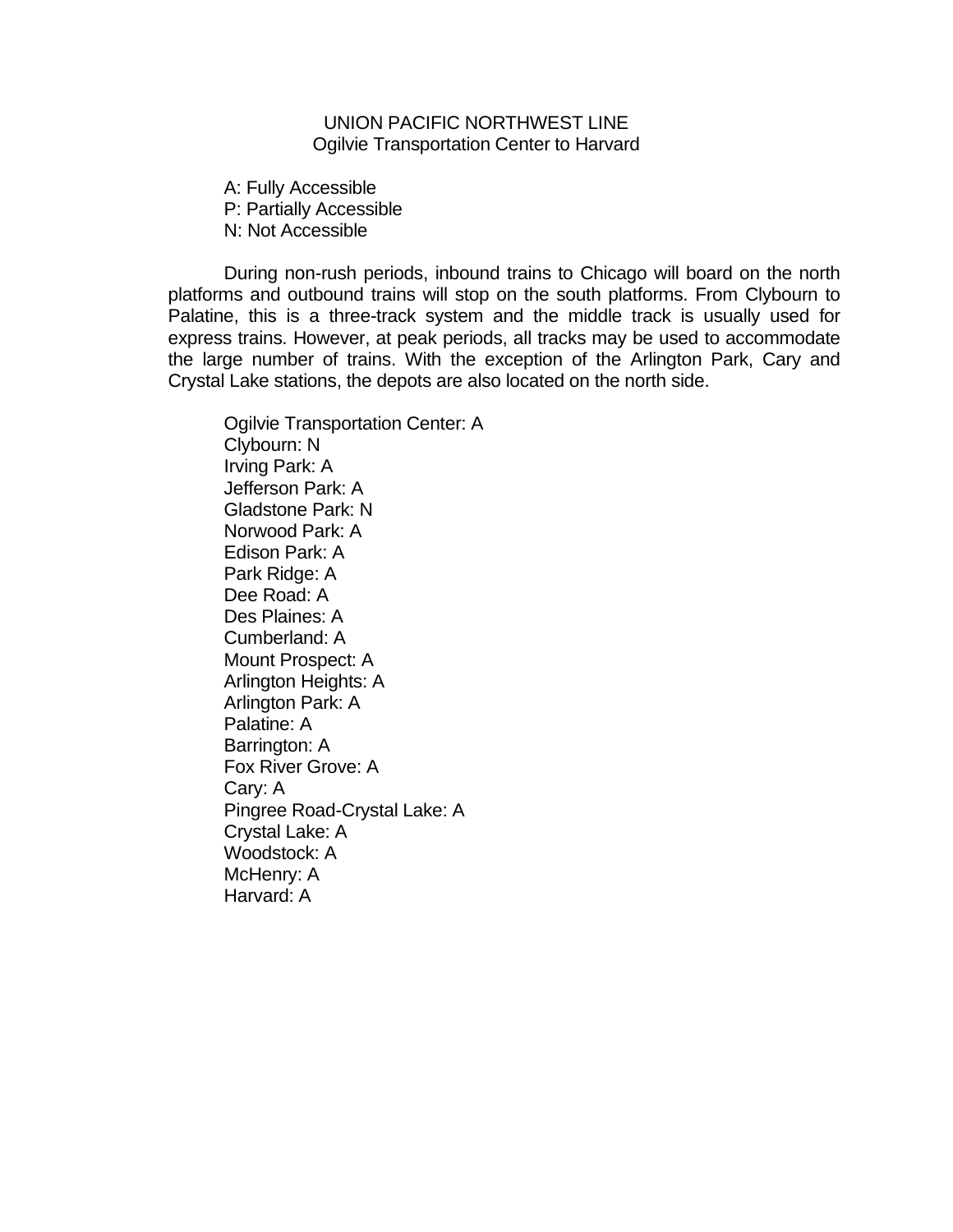# UNION PACIFIC NORTHWEST LINE Ogilvie Transportation Center to Harvard

A: Fully Accessible P: Partially Accessible N: Not Accessible

During non-rush periods, inbound trains to Chicago will board on the north platforms and outbound trains will stop on the south platforms. From Clybourn to Palatine, this is a three-track system and the middle track is usually used for express trains. However, at peak periods, all tracks may be used to accommodate the large number of trains. With the exception of the Arlington Park, Cary and Crystal Lake stations, the depots are also located on the north side.

Ogilvie Transportation Center: A Clybourn: N Irving Park: A Jefferson Park: A Gladstone Park: N Norwood Park: A Edison Park: A Park Ridge: A Dee Road: A Des Plaines: A Cumberland: A Mount Prospect: A Arlington Heights: A Arlington Park: A Palatine: A Barrington: A Fox River Grove: A Cary: A Pingree Road-Crystal Lake: A Crystal Lake: A Woodstock: A McHenry: A Harvard: A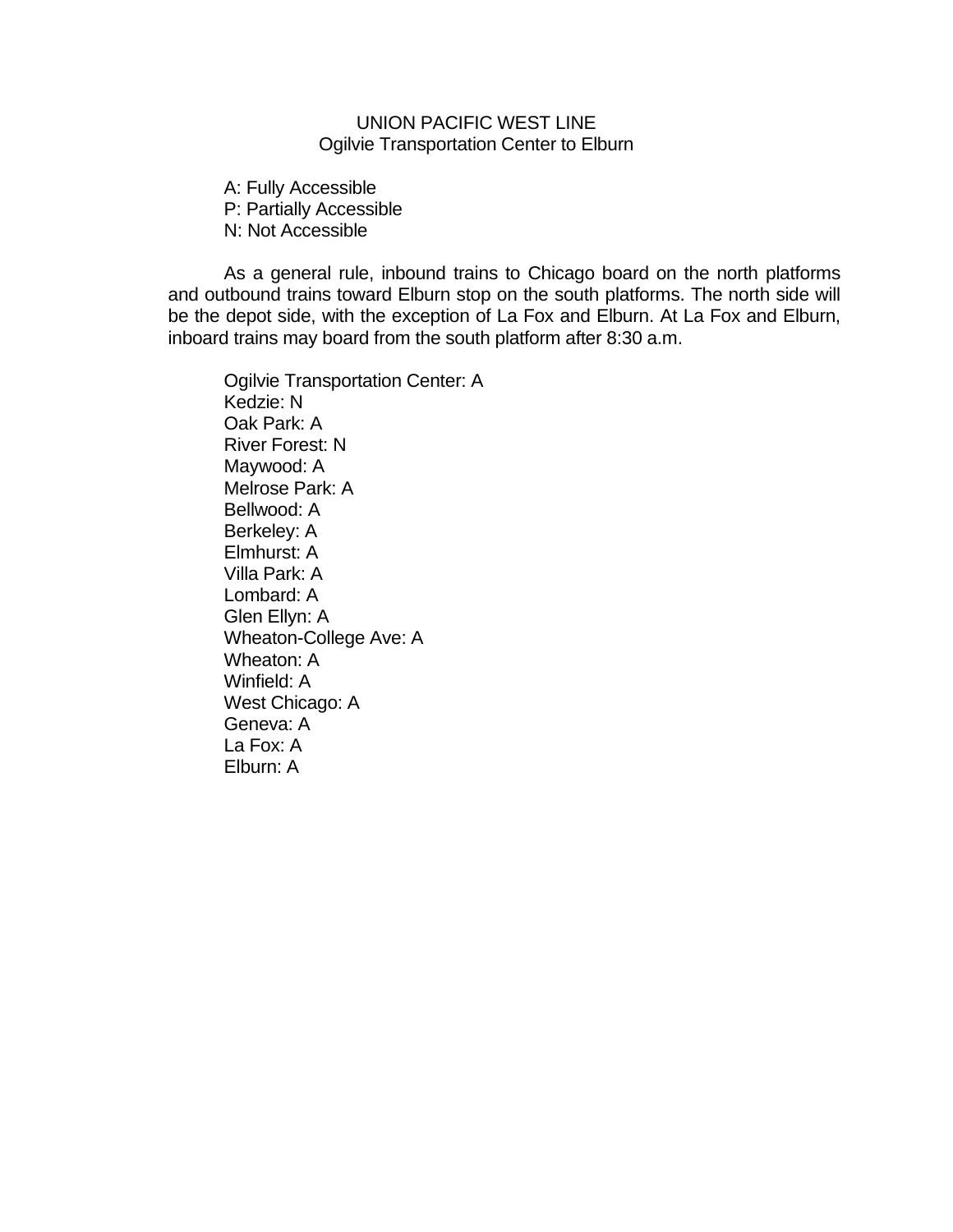# UNION PACIFIC WEST LINE Ogilvie Transportation Center to Elburn

A: Fully Accessible P: Partially Accessible N: Not Accessible

As a general rule, inbound trains to Chicago board on the north platforms and outbound trains toward Elburn stop on the south platforms. The north side will be the depot side, with the exception of La Fox and Elburn. At La Fox and Elburn, inboard trains may board from the south platform after 8:30 a.m.

Ogilvie Transportation Center: A Kedzie: N Oak Park: A River Forest: N Maywood: A Melrose Park: A Bellwood: A Berkeley: A Elmhurst: A Villa Park: A Lombard: A Glen Ellyn: A Wheaton-College Ave: A Wheaton: A Winfield: A West Chicago: A Geneva: A La Fox: A Elburn: A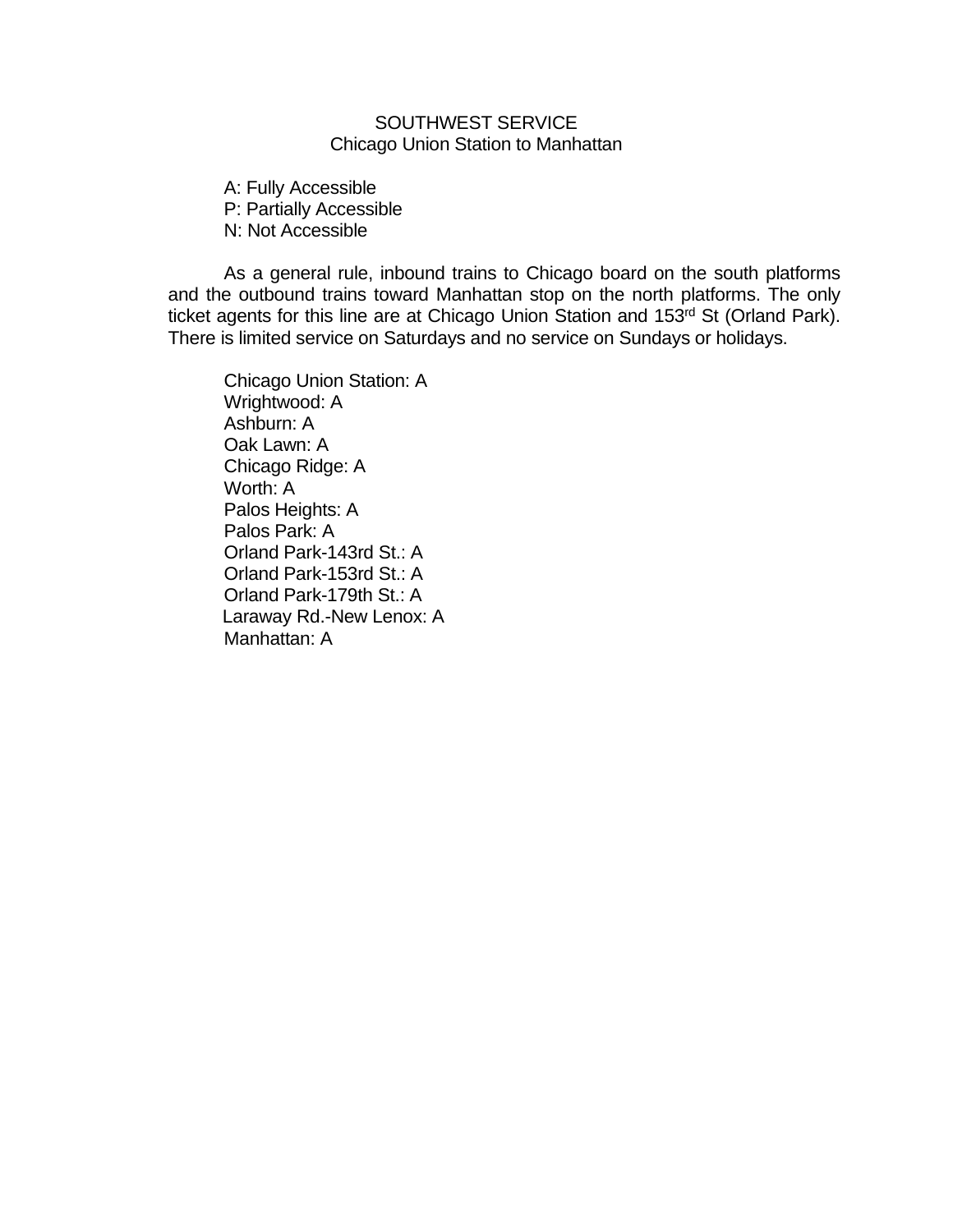# SOUTHWEST SERVICE Chicago Union Station to Manhattan

A: Fully Accessible P: Partially Accessible N: Not Accessible

As a general rule, inbound trains to Chicago board on the south platforms and the outbound trains toward Manhattan stop on the north platforms. The only ticket agents for this line are at Chicago Union Station and 153rd St (Orland Park). There is limited service on Saturdays and no service on Sundays or holidays.

Chicago Union Station: A Wrightwood: A Ashburn: A Oak Lawn: A Chicago Ridge: A Worth: A Palos Heights: A Palos Park: A Orland Park-143rd St.: A Orland Park-153rd St.: A Orland Park-179th St.: A Laraway Rd.-New Lenox: A Manhattan: A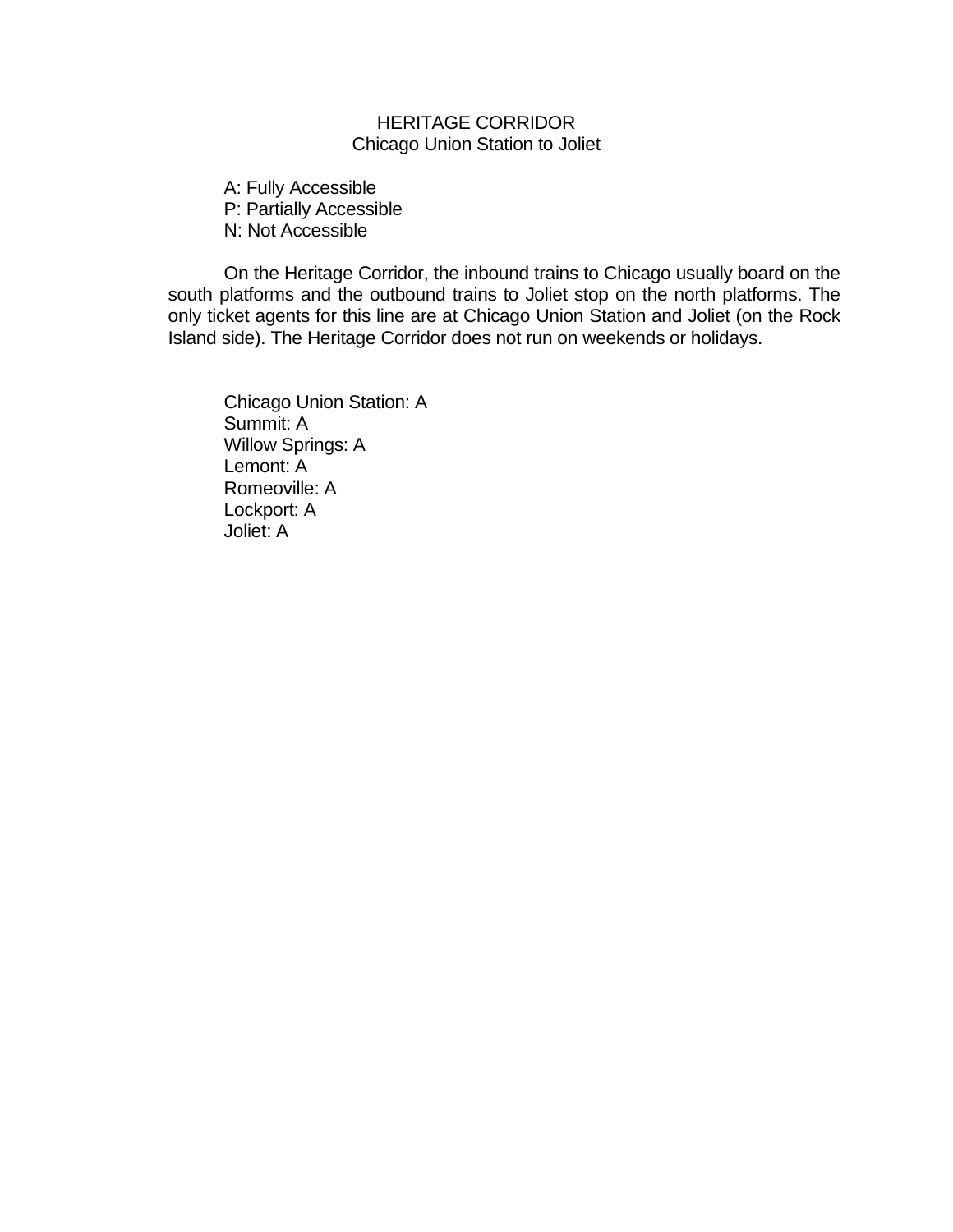# HERITAGE CORRIDOR Chicago Union Station to Joliet

A: Fully Accessible P: Partially Accessible N: Not Accessible

On the Heritage Corridor, the inbound trains to Chicago usually board on the south platforms and the outbound trains to Joliet stop on the north platforms. The only ticket agents for this line are at Chicago Union Station and Joliet (on the Rock Island side). The Heritage Corridor does not run on weekends or holidays.

Chicago Union Station: A Summit: A Willow Springs: A Lemont: A Romeoville: A Lockport: A Joliet: A